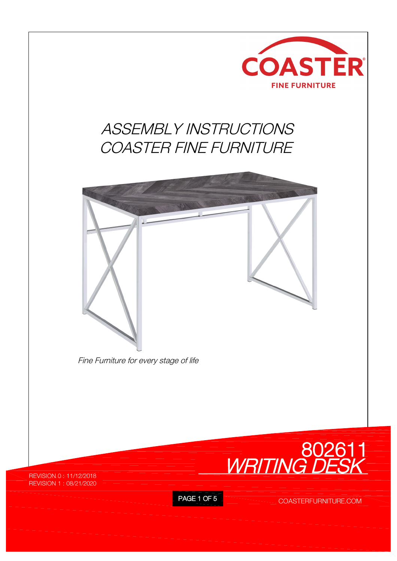

## *ASSEMBLY INSTRUCTIONS COASTER FINE FURNITURE*





REVISION 0 : 11/12/2018 REVISION 1 : 08/21/2020

PAGE 1 OF 5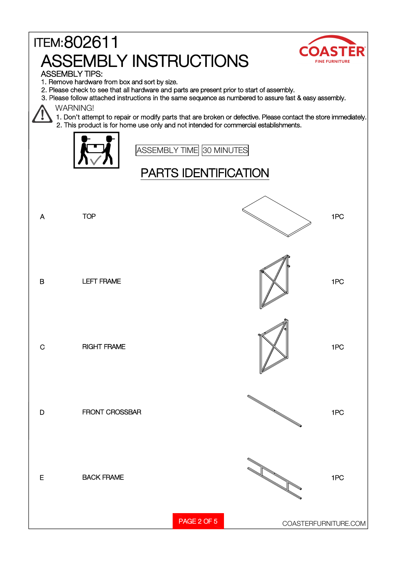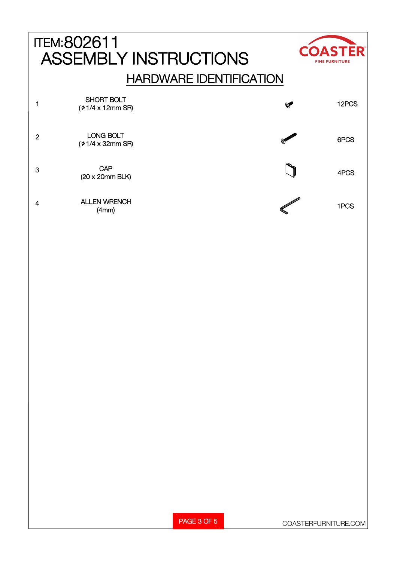|                | <b>ITEM:802611</b><br><b>ASSEMBLY INSTRUCTIONS</b> |                                | <b>COASTER</b><br><b>FINE FURNITURE</b> |
|----------------|----------------------------------------------------|--------------------------------|-----------------------------------------|
|                |                                                    | <b>HARDWARE IDENTIFICATION</b> |                                         |
|                | <b>SHORT BOLT</b><br>$($ $\phi$ 1/4 x 12mm SR)     | $\mathbf{Q}$                   | 12PCS                                   |
| $\overline{2}$ | <b>LONG BOLT</b><br>$($ $\phi$ 1/4 x 32mm SR)      |                                | 6PCS                                    |
| 3              | CAP<br>$(20 \times 20$ mm BLK)                     |                                | 4PCS                                    |
| 4              | <b>ALLEN WRENCH</b><br>(4mm)                       |                                | 1PCS                                    |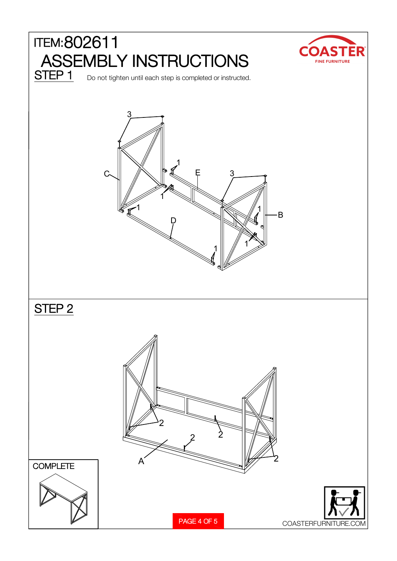